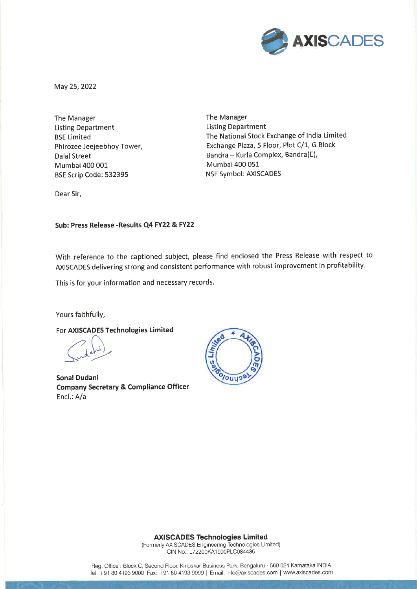

May 25, 2022

The Manager **Listing Department BSE Limited** Phirozee Jeejeebhoy Tower, **Dalal Street** Mumbai 400 001 BSE Scrip Code: 532395

The Manager **Listing Department** The National Stock Exchange of India Limited Exchange Plaza, 5 Floor, Plot C/1, G Block Bandra - Kurla Complex, Bandra(E), Mumbai 400 051 **NSE Symbol: AXISCADES** 

Dear Sir,

Sub: Press Release - Results Q4 FY22 & FY22

With reference to the captioned subject, please find enclosed the Press Release with respect to AXISCADES delivering strong and consistent performance with robust improvement in profitability.

This is for your information and necessary records.

Yours faithfully,

For AXISCADES Technologies Limited

**Sonal Dudani Company Secretary & Compliance Officer** Encl.: A/a



**AXISCADES Technologies Limited** 

(Formerly AXISCADES Engineering Technologies Limited) CIN No.: L72200KA1990PLC084435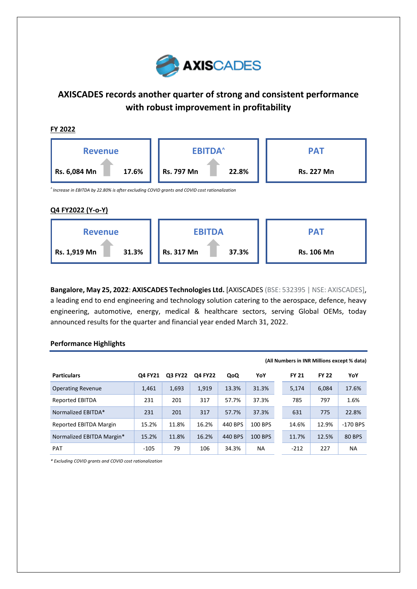

# **AXISCADES records another quarter of strong and consistent performance with robust improvement in profitability**



**Bangalore, May 25, 2022**: **AXISCADES Technologies Ltd.** [AXISCADES (BSE: 532395 | NSE: AXISCADES], a leading end to end engineering and technology solution catering to the aerospace, defence, heavy engineering, automotive, energy, medical & healthcare sectors, serving Global OEMs, today announced results for the quarter and financial year ended March 31, 2022.

|                           |                |                |                |         |           |              |              | (All Numbers in INR Millions except % data) |
|---------------------------|----------------|----------------|----------------|---------|-----------|--------------|--------------|---------------------------------------------|
| <b>Particulars</b>        | <b>Q4 FY21</b> | <b>Q3 FY22</b> | <b>Q4 FY22</b> | QoQ     | YoY       | <b>FY 21</b> | <b>FY 22</b> | YoY                                         |
| <b>Operating Revenue</b>  | 1,461          | 1,693          | 1,919          | 13.3%   | 31.3%     | 5,174        | 6.084        | 17.6%                                       |
| Reported EBITDA           | 231            | 201            | 317            | 57.7%   | 37.3%     | 785          | 797          | 1.6%                                        |
| Normalized EBITDA*        | 231            | 201            | 317            | 57.7%   | 37.3%     | 631          | 775          | 22.8%                                       |
| Reported EBITDA Margin    | 15.2%          | 11.8%          | 16.2%          | 440 BPS | 100 BPS   | 14.6%        | 12.9%        | $-170$ BPS                                  |
| Normalized EBITDA Margin* | 15.2%          | 11.8%          | 16.2%          | 440 BPS | 100 BPS   | 11.7%        | 12.5%        | <b>80 BPS</b>                               |
| <b>PAT</b>                | $-105$         | 79             | 106            | 34.3%   | <b>NA</b> | $-212$       | 227          | <b>NA</b>                                   |

## **Performance Highlights**

*\* Excluding COVID grants and COVID cost rationalization*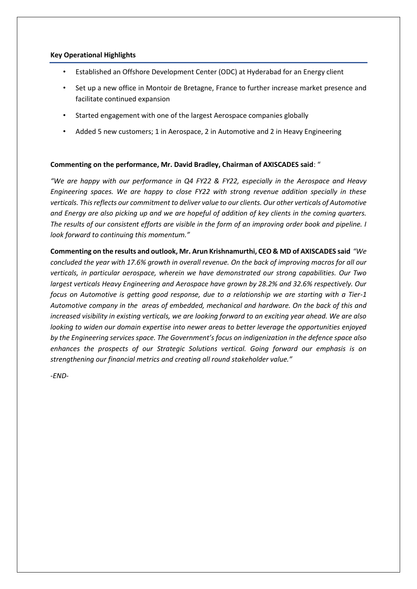# **Key Operational Highlights**

- Established an Offshore Development Center (ODC) at Hyderabad for an Energy client
- Set up a new office in Montoir de Bretagne, France to further increase market presence and facilitate continued expansion
- Started engagement with one of the largest Aerospace companies globally
- Added 5 new customers; 1 in Aerospace, 2 in Automotive and 2 in Heavy Engineering

# **Commenting on the performance, Mr. David Bradley, Chairman of AXISCADES said**: "

*"We are happy with our performance in Q4 FY22 & FY22, especially in the Aerospace and Heavy Engineering spaces. We are happy to close FY22 with strong revenue addition specially in these verticals. This reflects our commitment to deliver value to our clients. Our other verticals of Automotive and Energy are also picking up and we are hopeful of addition of key clients in the coming quarters. The results of our consistent efforts are visible in the form of an improving order book and pipeline. I look forward to continuing this momentum."*

**Commenting on the results and outlook, Mr. Arun Krishnamurthi, CEO & MD of AXISCADES said** *"We concluded the year with 17.6% growth in overall revenue. On the back of improving macros for all our verticals, in particular aerospace, wherein we have demonstrated our strong capabilities. Our Two largest verticals Heavy Engineering and Aerospace have grown by 28.2% and 32.6% respectively. Our focus on Automotive is getting good response, due to a relationship we are starting with a Tier-1 Automotive company in the areas of embedded, mechanical and hardware. On the back of this and increased visibility in existing verticals, we are looking forward to an exciting year ahead. We are also looking to widen our domain expertise into newer areas to better leverage the opportunities enjoyed by the Engineering services space. The Government's focus on indigenization in the defence space also enhances the prospects of our Strategic Solutions vertical. Going forward our emphasis is on strengthening our financial metrics and creating all round stakeholder value."*

*-END-*